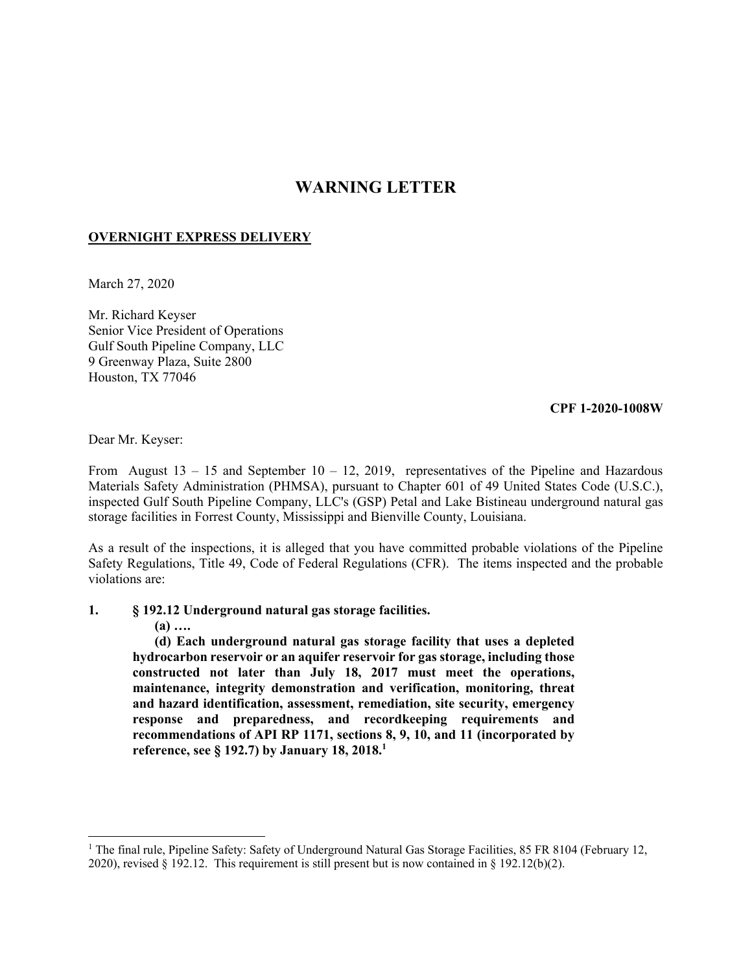## **WARNING LETTER**

## **OVERNIGHT EXPRESS DELIVERY**

March 27, 2020

Mr. Richard Keyser Senior Vice President of Operations Gulf South Pipeline Company, LLC 9 Greenway Plaza, Suite 2800 Houston, TX 77046

## **CPF 1-2020-1008W**

Dear Mr. Keyser:

From August  $13 - 15$  and September  $10 - 12$ , 2019, representatives of the Pipeline and Hazardous Materials Safety Administration (PHMSA), pursuant to Chapter 601 of 49 United States Code (U.S.C.), inspected Gulf South Pipeline Company, LLC's (GSP) Petal and Lake Bistineau underground natural gas storage facilities in Forrest County, Mississippi and Bienville County, Louisiana.

As a result of the inspections, it is alleged that you have committed probable violations of the Pipeline Safety Regulations, Title 49, Code of Federal Regulations (CFR). The items inspected and the probable violations are:

- **1. § 192.12 Underground natural gas storage facilities.** 
	- **(a) ….**

 $\overline{\phantom{a}}$ 

**(d) Each underground natural gas storage facility that uses a depleted hydrocarbon reservoir or an aquifer reservoir for gas storage, including those constructed not later than July 18, 2017 must meet the operations, maintenance, integrity demonstration and verification, monitoring, threat and hazard identification, assessment, remediation, site security, emergency response and preparedness, and recordkeeping requirements and recommendations of API RP 1171, sections 8, 9, 10, and 11 (incorporated by reference, see § 192.7) by January 18, 2018.1** 

<sup>2020),</sup> revised § 192.12. This requirement is still present but is now contained in § 192.12(b)(2). <sup>1</sup> The final rule, Pipeline Safety: Safety of Underground Natural Gas Storage Facilities, 85 FR 8104 (February 12,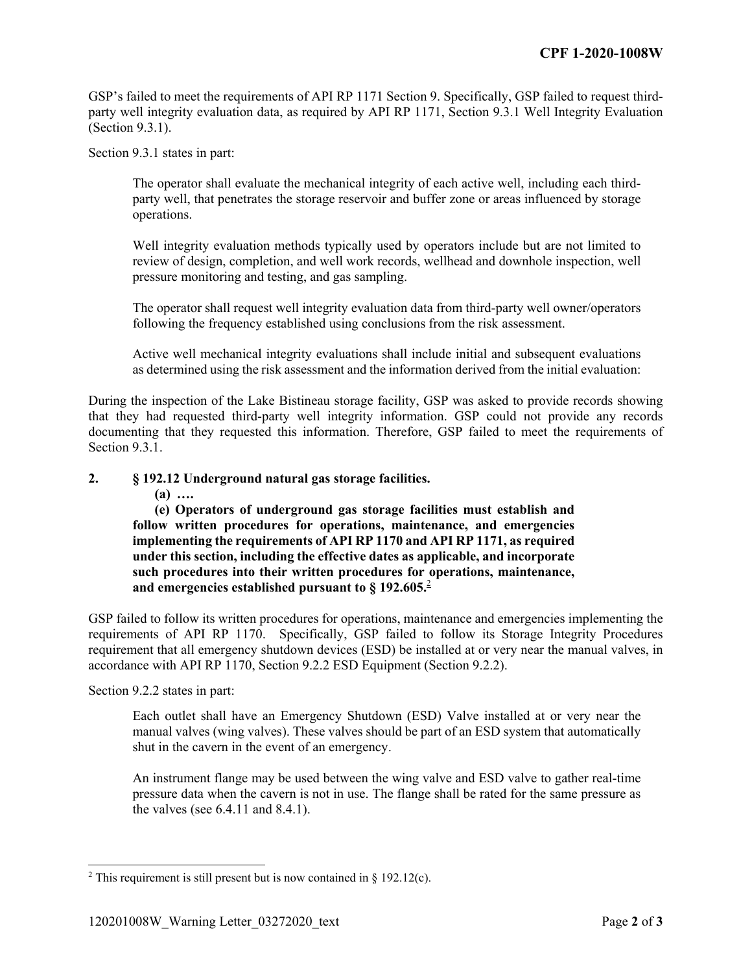GSP's failed to meet the requirements of API RP 1171 Section 9. Specifically, GSP failed to request thirdparty well integrity evaluation data, as required by API RP 1171, Section 9.3.1 Well Integrity Evaluation (Section 9.3.1).

Section 9.3.1 states in part:

The operator shall evaluate the mechanical integrity of each active well, including each thirdparty well, that penetrates the storage reservoir and buffer zone or areas influenced by storage operations.

Well integrity evaluation methods typically used by operators include but are not limited to review of design, completion, and well work records, wellhead and downhole inspection, well pressure monitoring and testing, and gas sampling.

The operator shall request well integrity evaluation data from third-party well owner/operators following the frequency established using conclusions from the risk assessment.

Active well mechanical integrity evaluations shall include initial and subsequent evaluations as determined using the risk assessment and the information derived from the initial evaluation:

During the inspection of the Lake Bistineau storage facility, GSP was asked to provide records showing that they had requested third-party well integrity information. GSP could not provide any records documenting that they requested this information. Therefore, GSP failed to meet the requirements of Section 9.3.1.

## **2. § 192.12 Underground natural gas storage facilities.**

**(a) ….** 

**(e) Operators of underground gas storage facilities must establish and follow written procedures for operations, maintenance, and emergencies implementing the requirements of API RP 1170 and API RP 1171, as required under this section, including the effective dates as applicable, and incorporate such procedures into their written procedures for operations, maintenance, and emergencies established pursuant to § 192.605.**<sup>2</sup>

GSP failed to follow its written procedures for operations, maintenance and emergencies implementing the requirements of API RP 1170. Specifically, GSP failed to follow its Storage Integrity Procedures requirement that all emergency shutdown devices (ESD) be installed at or very near the manual valves, in accordance with API RP 1170, Section 9.2.2 ESD Equipment (Section 9.2.2).

Section 9.2.2 states in part:

 $\overline{a}$ 

Each outlet shall have an Emergency Shutdown (ESD) Valve installed at or very near the manual valves (wing valves). These valves should be part of an ESD system that automatically shut in the cavern in the event of an emergency.

An instrument flange may be used between the wing valve and ESD valve to gather real-time pressure data when the cavern is not in use. The flange shall be rated for the same pressure as the valves (see 6.4.11 and 8.4.1).

<sup>&</sup>lt;sup>2</sup> This requirement is still present but is now contained in § 192.12(c).